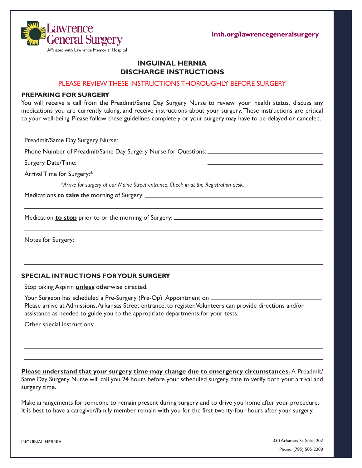**lmh.org/lawrencegeneralsurgery**



## **INGUINAL HERNIA DISCHARGE INSTRUCTIONS**

#### PLEASE REVIEW THESE INSTRUCTIONS THOROUGHLY BEFORE SURGERY

#### **PREPARING FOR SURGERY**

You will receive a call from the Preadmit/Same Day Surgery Nurse to review your health status, discuss any medications you are currently taking, and receive instructions about your surgery. These instructions are critical to your well-being. Please follow these guidelines completely or your surgery may have to be delayed or canceled.

Preadmit/Same Day Surgery Nurse:

Phone Number of Preadmit/Same Day Surgery Nurse for Questions: \_\_\_\_\_\_\_\_\_\_\_\_\_\_\_\_\_\_

Surgery Date/Time:

Arrival Time for Surgery:\*

*\*Arrive for surgery at our Maine Street entrance. Check in at the Registration desk.* 

Medications **to take** the morning of Surgery:

Medication **to stop** prior to or the morning of Surgery:

Notes for Surgery:

## **SPECIAL INTRUCTIONS FOR YOUR SURGERY**

Stop taking Aspirin **unless** otherwise directed.

Your Surgeon has scheduled a Pre-Surgery (Pre-Op) Appointment on \_\_\_\_\_\_ Please arrive at Admissions, Arkansas Street entrance, to register. Volunteers can provide directions and/or assistance as needed to guide you to the appropriate departments for your tests.

Other special instructions:

**Please understand that your surgery time may change due to emergency circumstances.** A Preadmit/ Same Day Surgery Nurse will call you 24 hours before your scheduled surgery date to verify both your arrival and surgery time.

Make arrangements for someone to remain present during surgery and to drive you home after your procedure. It is best to have a caregiver/family member remain with you for the first twenty-four hours after your surgery.

INGUINAL HERNIA

330 Arkansas St. Suite 202 Phone: (785) 505-2200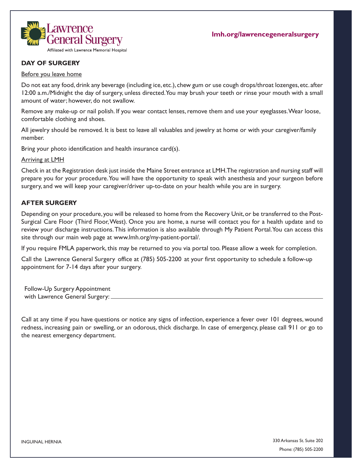

## **DAY OF SURGERY**

#### Before you leave home

Do not eat any food, drink any beverage (including ice, etc.), chew gum or use cough drops/throat lozenges, etc. after 12:00 a.m./Midnight the day of surgery, unless directed. You may brush your teeth or rinse your mouth with a small amount of water; however, do not swallow.

Remove any make-up or nail polish. If you wear contact lenses, remove them and use your eyeglasses. Wear loose, comfortable clothing and shoes.

All jewelry should be removed. It is best to leave all valuables and jewelry at home or with your caregiver/family member.

Bring your photo identification and health insurance card(s).

Arriving at LMH

Check in at the Registration desk just inside the Maine Street entrance at LMH. The registration and nursing staff will prepare you for your procedure. You will have the opportunity to speak with anesthesia and your surgeon before surgery, and we will keep your caregiver/driver up-to-date on your health while you are in surgery.

### **AFTER SURGERY**

Depending on your procedure, you will be released to home from the Recovery Unit, or be transferred to the Post-Surgical Care Floor (Third Floor, West). Once you are home, a nurse will contact you for a health update and to review your discharge instructions.This information is also available through My Patient Portal. You can access this site through our main web page at www.lmh.org/my-patient-portal/.

If you require FMLA paperwork, this may be returned to you via portal too. Please allow a week for completion.

Call the Lawrence General Surgery office at (785) 505-2200 at your first opportunity to schedule a follow-up appointment for 7-14 days after your surgery.

Follow-Up Surgery Appointment with Lawrence General Surgery:

Call at any time if you have questions or notice any signs of infection, experience a fever over 101 degrees, wound redness, increasing pain or swelling, or an odorous, thick discharge. In case of emergency, please call 911 or go to the nearest emergency department.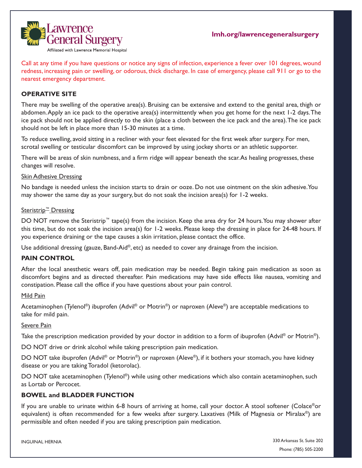

Call at any time if you have questions or notice any signs of infection, experience a fever over 101 degrees, wound redness, increasing pain or swelling, or odorous, thick discharge. In case of emergency, please call 911 or go to the nearest emergency department.

## **OPERATIVE SITE**

There may be swelling of the operative area(s). Bruising can be extensive and extend to the genital area, thigh or abdomen. Apply an ice pack to the operative area(s) intermittently when you get home for the next 1-2 days. The ice pack should not be applied directly to the skin (place a cloth between the ice pack and the area). The ice pack should not be left in place more than 15-30 minutes at a time.

To reduce swelling, avoid sitting in a recliner with your feet elevated for the first week after surgery. For men, scrotal swelling or testicular discomfort can be improved by using jockey shorts or an athletic supporter.

There will be areas of skin numbness, and a firm ridge will appear beneath the scar. As healing progresses, these changes will resolve.

#### Skin Adhesive Dressing

No bandage is needed unless the incision starts to drain or ooze. Do not use ointment on the skin adhesive. You may shower the same day as your surgery, but do not soak the incision area(s) for 1-2 weeks.

### Steristrip<sup>™</sup> Dressing

DO NOT remove the Steristrip<sup>™</sup> tape(s) from the incision. Keep the area dry for 24 hours. You may shower after this time, but do not soak the incision area(s) for 1-2 weeks. Please keep the dressing in place for 24-48 hours. If you experience draining or the tape causes a skin irritation, please contact the office.

Use additional dressing (gauze, Band-Aid®, etc) as needed to cover any drainage from the incision.

## **PAIN CONTROL**

After the local anesthetic wears off, pain medication may be needed. Begin taking pain medication as soon as discomfort begins and as directed thereafter. Pain medications may have side effects like nausea, vomiting and constipation. Please call the office if you have questions about your pain control.

#### Mild Pain

Acetaminophen (Tylenol®) ibuprofen (Advil® or Motrin®) or naproxen (Aleve®) are acceptable medications to take for mild pain.

## Severe Pain

Take the prescription medication provided by your doctor in addition to a form of ibuprofen (Advil<sup>®</sup> or Motrin<sup>®</sup>).

DO NOT drive or drink alcohol while taking prescription pain medication.

DO NOT take ibuprofen (Advil® or Motrin®) or naproxen (Aleve®), if it bothers your stomach, you have kidney disease or you are taking Toradol (ketorolac).

DO NOT take acetaminophen (Tylenol®) while using other medications which also contain acetaminophen, such as Lortab or Percocet.

## **BOWEL and BLADDER FUNCTION**

If you are unable to urinate within 6-8 hours of arriving at home, call your doctor. A stool softener (Colace®or equivalent) is often recommended for a few weeks after surgery. Laxatives (Milk of Magnesia or Miralax®) are permissible and often needed if you are taking prescription pain medication.

INGUINAL HERNIA

330 Arkansas St. Suite 202 Phone: (785) 505-2200